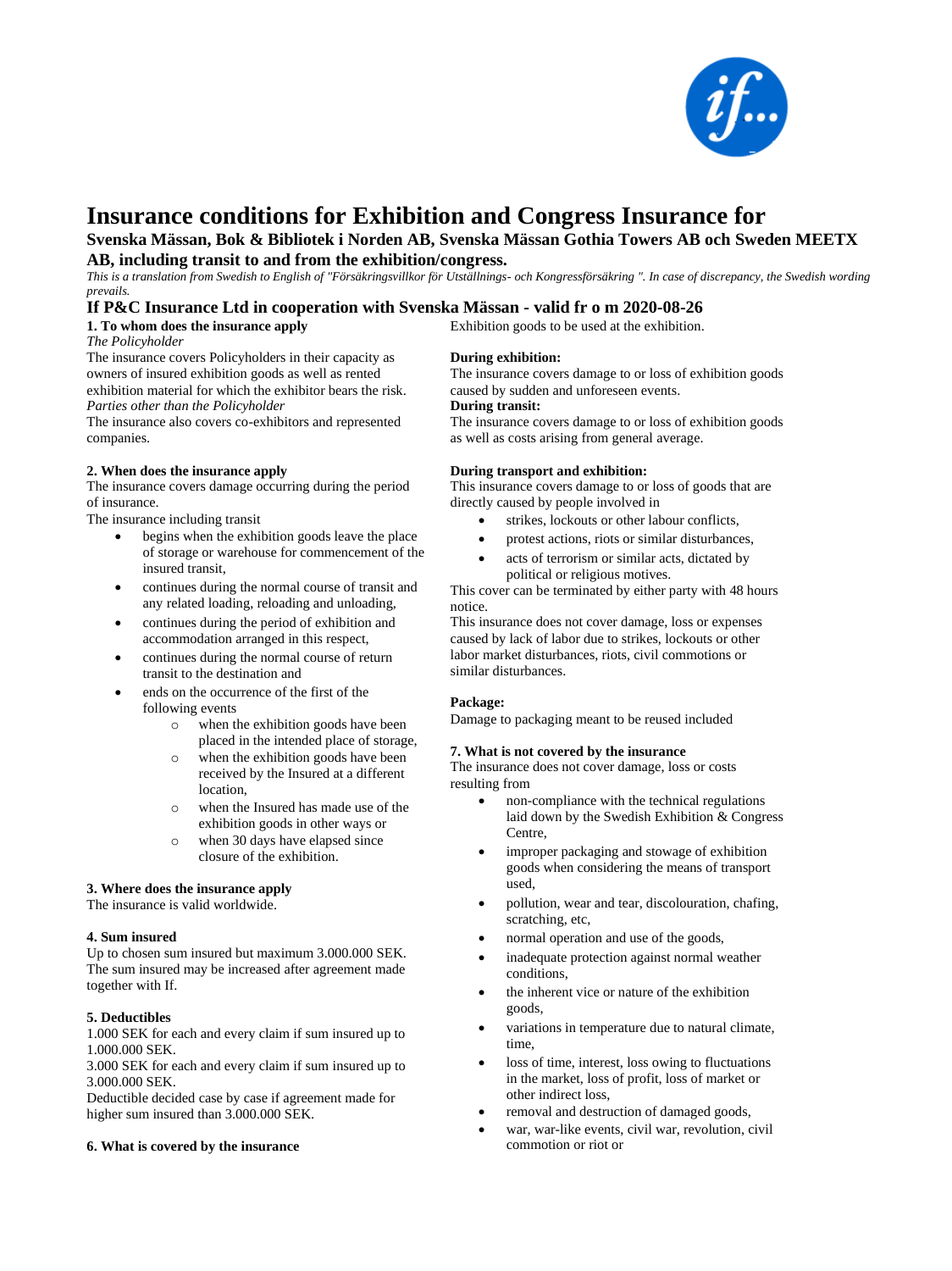

# **Insurance conditions for Exhibition and Congress Insurance for**

**Svenska Mässan, Bok & Bibliotek i Norden AB, Svenska Mässan Gothia Towers AB och Sweden MEETX** 

**AB, including transit to and from the exhibition/congress.** 

*This is a translation from Swedish to English of "Försäkringsvillkor för Utställnings- och Kongressförsäkring ". In case of discrepancy, the Swedish wording prevails.* 

## **If P&C Insurance Ltd in cooperation with Svenska Mässan - valid fr o m 2020-08-26**

**1. To whom does the insurance apply** 

*The Policyholder* 

The insurance covers Policyholders in their capacity as owners of insured exhibition goods as well as rented exhibition material for which the exhibitor bears the risk. *Parties other than the Policyholder* 

The insurance also covers co-exhibitors and represented companies.

## **2. When does the insurance apply**

The insurance covers damage occurring during the period of insurance.

The insurance including transit

- begins when the exhibition goods leave the place of storage or warehouse for commencement of the insured transit,
- continues during the normal course of transit and any related loading, reloading and unloading,
- continues during the period of exhibition and accommodation arranged in this respect,
- continues during the normal course of return transit to the destination and
- ends on the occurrence of the first of the following events
	- o when the exhibition goods have been placed in the intended place of storage,
	- o when the exhibition goods have been received by the Insured at a different location,
	- o when the Insured has made use of the exhibition goods in other ways or
	- o when 30 days have elapsed since closure of the exhibition.

## **3. Where does the insurance apply**

The insurance is valid worldwide.

#### **4. Sum insured**

Up to chosen sum insured but maximum 3.000.000 SEK. The sum insured may be increased after agreement made together with If.

## **5. Deductibles**

1.000 SEK for each and every claim if sum insured up to 1.000.000 SEK.

3.000 SEK for each and every claim if sum insured up to 3.000.000 SEK.

Deductible decided case by case if agreement made for higher sum insured than 3.000.000 SEK.

#### **6. What is covered by the insurance**

**During exhibition:** 

Exhibition goods to be used at the exhibition.

The insurance covers damage to or loss of exhibition goods caused by sudden and unforeseen events. **During transit:** 

The insurance covers damage to or loss of exhibition goods as well as costs arising from general average.

#### **During transport and exhibition:**

This insurance covers damage to or loss of goods that are directly caused by people involved in

- strikes, lockouts or other labour conflicts,
- protest actions, riots or similar disturbances,
- acts of terrorism or similar acts, dictated by political or religious motives.

This cover can be terminated by either party with 48 hours notice.

This insurance does not cover damage, loss or expenses caused by lack of labor due to strikes, lockouts or other labor market disturbances, riots, civil commotions or similar disturbances.

#### **Package:**

Damage to packaging meant to be reused included

## **7. What is not covered by the insurance**

The insurance does not cover damage, loss or costs resulting from

- non-compliance with the technical regulations laid down by the Swedish Exhibition & Congress Centre,
- improper packaging and stowage of exhibition goods when considering the means of transport used,
- pollution, wear and tear, discolouration, chafing, scratching, etc,
- normal operation and use of the goods,
- inadequate protection against normal weather conditions,
- the inherent vice or nature of the exhibition goods,
- variations in temperature due to natural climate, time,
- loss of time, interest, loss owing to fluctuations in the market, loss of profit, loss of market or other indirect loss,
- removal and destruction of damaged goods,
- war, war-like events, civil war, revolution, civil commotion or riot or